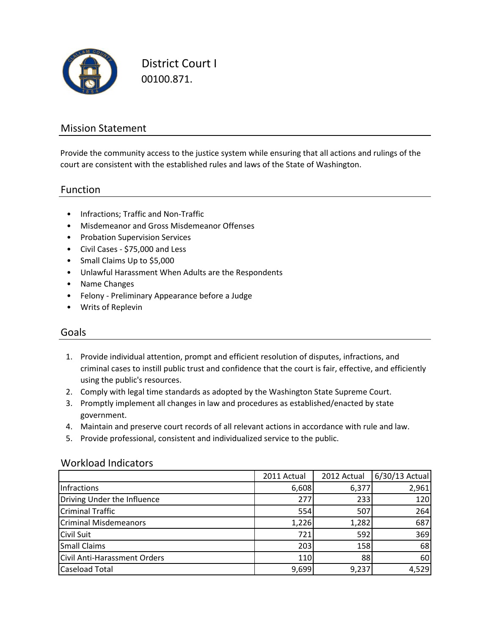

District Court I 00100.871.

### Mission Statement

Provide the community access to the justice system while ensuring that all actions and rulings of the court are consistent with the established rules and laws of the State of Washington.

#### Function

- Infractions; Traffic and Non-Traffic
- Misdemeanor and Gross Misdemeanor Offenses
- Probation Supervision Services
- Civil Cases \$75,000 and Less
- Small Claims Up to \$5,000
- Unlawful Harassment When Adults are the Respondents
- Name Changes
- Felony Preliminary Appearance before a Judge
- Writs of Replevin

#### Goals

- 1. Provide individual attention, prompt and efficient resolution of disputes, infractions, and criminal cases to instill public trust and confidence that the court is fair, effective, and efficiently using the public's resources.
- 2. Comply with legal time standards as adopted by the Washington State Supreme Court.
- 3. Promptly implement all changes in law and procedures as established/enacted by state government.
- 4. Maintain and preserve court records of all relevant actions in accordance with rule and law.
- 5. Provide professional, consistent and individualized service to the public.

#### Workload Indicators

|                              | 2011 Actual | 2012 Actual | 6/30/13 Actual |
|------------------------------|-------------|-------------|----------------|
| Infractions                  | 6,608       | 6,377       | 2,961          |
| Driving Under the Influence  | 277         | 233         | 120            |
| <b>Criminal Traffic</b>      | 554         | 507         | 264            |
| <b>Criminal Misdemeanors</b> | 1,226       | 1,282       | 687            |
| <b>Civil Suit</b>            | 721         | 592         | 369            |
| <b>Small Claims</b>          | 203         | 158         | 68             |
| Civil Anti-Harassment Orders | 110         | 88          | 60             |
| <b>Caseload Total</b>        | 9,699       | 9,237       | 4,529          |